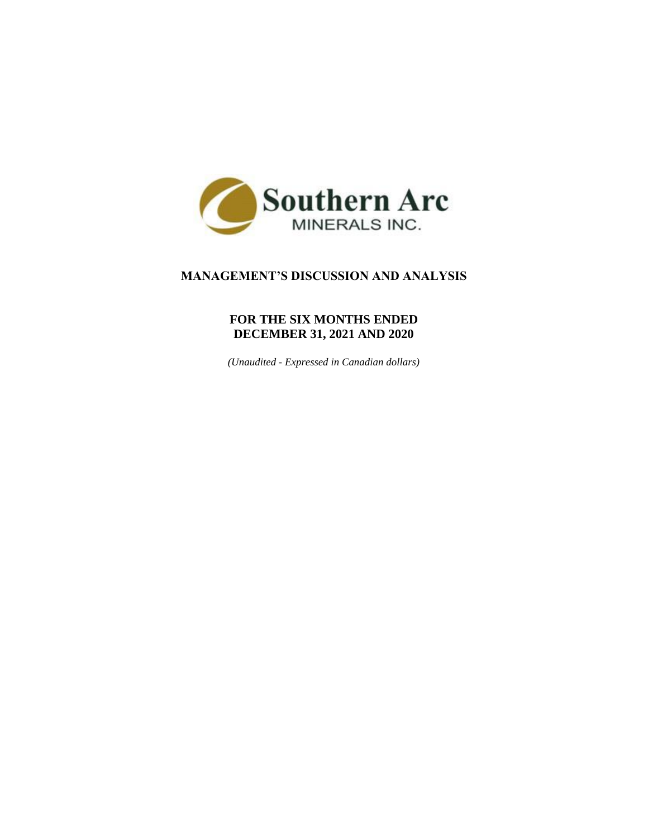

# **MANAGEMENT'S DISCUSSION AND ANALYSIS**

# **FOR THE SIX MONTHS ENDED DECEMBER 31, 2021 AND 2020**

*(Unaudited - Expressed in Canadian dollars)*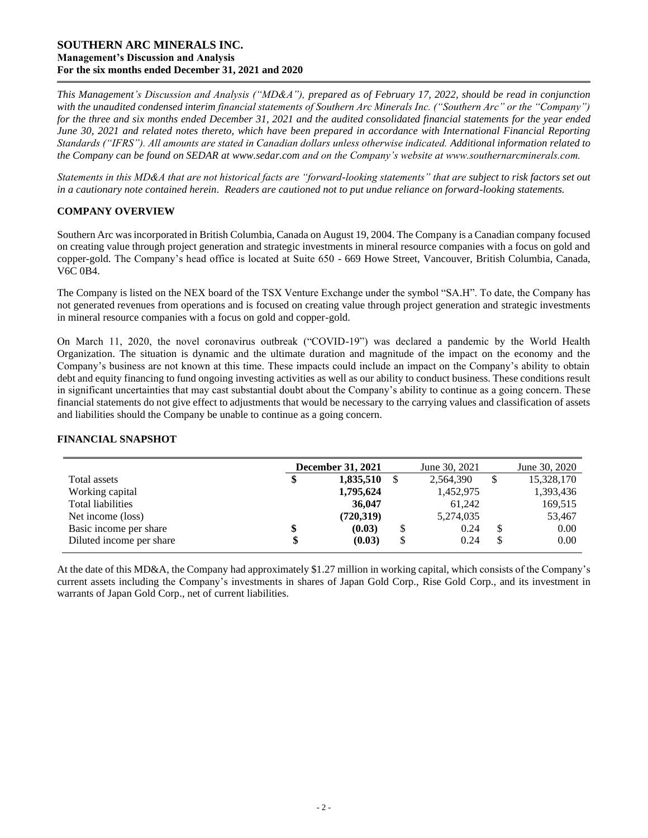*This Management's Discussion and Analysis ("MD&A"), prepared as of February 17, 2022, should be read in conjunction with the unaudited condensed interim financial statements of Southern Arc Minerals Inc. ("Southern Arc" or the "Company") for the three and six months ended December 31, 2021 and the audited consolidated financial statements for the year ended June 30, 2021 and related notes thereto, which have been prepared in accordance with International Financial Reporting Standards ("IFRS"). All amounts are stated in Canadian dollars unless otherwise indicated. Additional information related to the Company can be found on SEDAR at [www.sedar.com](http://www.sedar.com/) and on the Company's website at www.southernarcminerals.com.*

*Statements in this MD&A that are not historical facts are "forward-looking statements" that are subject to risk factors set out in a cautionary note contained herein. Readers are cautioned not to put undue reliance on forward-looking statements.*

## **COMPANY OVERVIEW**

Southern Arc was incorporated in British Columbia, Canada on August 19, 2004. The Company is a Canadian company focused on creating value through project generation and strategic investments in mineral resource companies with a focus on gold and copper-gold. The Company's head office is located at Suite 650 - 669 Howe Street, Vancouver, British Columbia, Canada, V6C 0B4.

The Company is listed on the NEX board of the TSX Venture Exchange under the symbol "SA.H". To date, the Company has not generated revenues from operations and is focused on creating value through project generation and strategic investments in mineral resource companies with a focus on gold and copper-gold.

On March 11, 2020, the novel coronavirus outbreak ("COVID-19") was declared a pandemic by the World Health Organization. The situation is dynamic and the ultimate duration and magnitude of the impact on the economy and the Company's business are not known at this time. These impacts could include an impact on the Company's ability to obtain debt and equity financing to fund ongoing investing activities as well as our ability to conduct business. These conditions result in significant uncertainties that may cast substantial doubt about the Company's ability to continue as a going concern. These financial statements do not give effect to adjustments that would be necessary to the carrying values and classification of assets and liabilities should the Company be unable to continue as a going concern.

## **FINANCIAL SNAPSHOT**

|                          | <b>December 31, 2021</b> |   | June 30, 2021 |    | June 30, 2020 |
|--------------------------|--------------------------|---|---------------|----|---------------|
| Total assets             | 1,835,510                | S | 2,564,390     | \$ | 15,328,170    |
| Working capital          | 1,795,624                |   | 1,452,975     |    | 1,393,436     |
| Total liabilities        | 36,047                   |   | 61,242        |    | 169,515       |
| Net income (loss)        | (720,319)                |   | 5,274,035     |    | 53,467        |
| Basic income per share   | (0.03)                   | S | 0.24          | S  | 0.00          |
| Diluted income per share | (0.03)                   |   | 0.24          | ъ  | 0.00          |

At the date of this MD&A, the Company had approximately \$1.27 million in working capital, which consists of the Company's current assets including the Company's investments in shares of Japan Gold Corp., Rise Gold Corp., and its investment in warrants of Japan Gold Corp., net of current liabilities.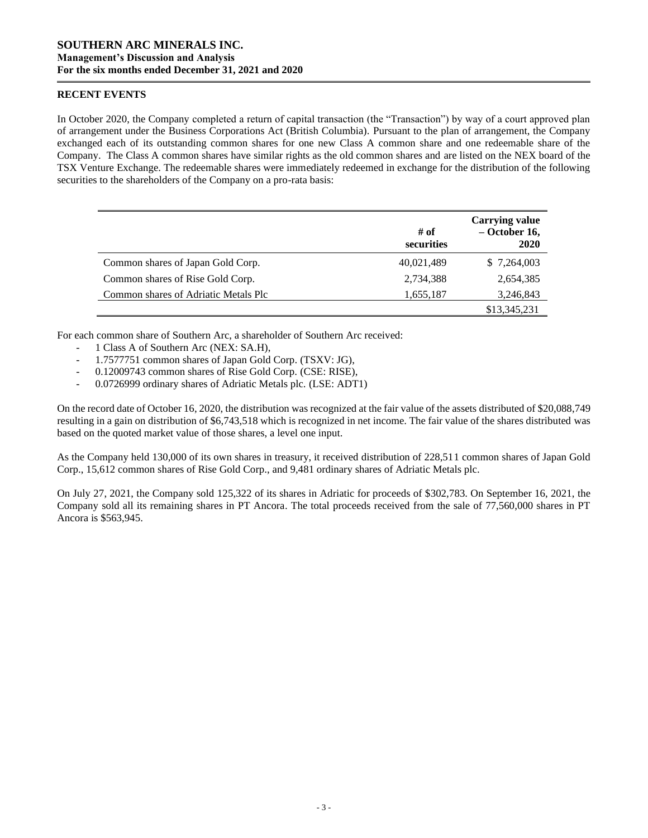### **RECENT EVENTS**

In October 2020, the Company completed a return of capital transaction (the "Transaction") by way of a court approved plan of arrangement under the Business Corporations Act (British Columbia). Pursuant to the plan of arrangement, the Company exchanged each of its outstanding common shares for one new Class A common share and one redeemable share of the Company. The Class A common shares have similar rights as the old common shares and are listed on the NEX board of the TSX Venture Exchange. The redeemable shares were immediately redeemed in exchange for the distribution of the following securities to the shareholders of the Company on a pro-rata basis:

|                                      | # of<br>securities | <b>Carrying value</b><br>$-$ October 16,<br>2020 |
|--------------------------------------|--------------------|--------------------------------------------------|
| Common shares of Japan Gold Corp.    | 40,021,489         | \$7,264,003                                      |
| Common shares of Rise Gold Corp.     | 2,734,388          | 2,654,385                                        |
| Common shares of Adriatic Metals Plc | 1,655,187          | 3,246,843                                        |
|                                      |                    | \$13,345,231                                     |

For each common share of Southern Arc, a shareholder of Southern Arc received:

- 1 Class A of Southern Arc (NEX: SA.H),
- 1.7577751 common shares of Japan Gold Corp. (TSXV: JG),
- 0.12009743 common shares of Rise Gold Corp. (CSE: RISE),
- 0.0726999 ordinary shares of Adriatic Metals plc. (LSE: ADT1)

On the record date of October 16, 2020, the distribution was recognized at the fair value of the assets distributed of \$20,088,749 resulting in a gain on distribution of \$6,743,518 which is recognized in net income. The fair value of the shares distributed was based on the quoted market value of those shares, a level one input.

As the Company held 130,000 of its own shares in treasury, it received distribution of 228,511 common shares of Japan Gold Corp., 15,612 common shares of Rise Gold Corp., and 9,481 ordinary shares of Adriatic Metals plc.

On July 27, 2021, the Company sold 125,322 of its shares in Adriatic for proceeds of \$302,783. On September 16, 2021, the Company sold all its remaining shares in PT Ancora. The total proceeds received from the sale of 77,560,000 shares in PT Ancora is \$563,945.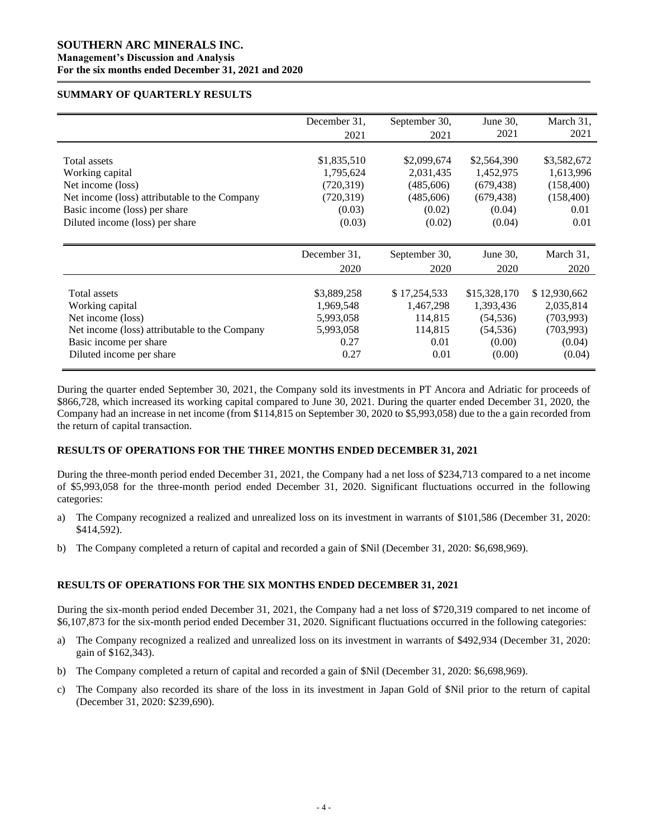#### **SUMMARY OF QUARTERLY RESULTS**

|                                               | December 31. | September 30, | June 30,     | March 31,    |
|-----------------------------------------------|--------------|---------------|--------------|--------------|
|                                               | 2021         | 2021          | 2021         | 2021         |
|                                               |              |               |              |              |
| Total assets                                  | \$1,835,510  | \$2,099,674   | \$2,564,390  | \$3,582,672  |
| Working capital                               | 1,795,624    | 2,031,435     | 1,452,975    | 1,613,996    |
| Net income (loss)                             | (720, 319)   | (485,606)     | (679, 438)   | (158, 400)   |
| Net income (loss) attributable to the Company | (720, 319)   | (485,606)     | (679, 438)   | (158, 400)   |
| Basic income (loss) per share                 | (0.03)       | (0.02)        | (0.04)       | 0.01         |
| Diluted income (loss) per share               | (0.03)       | (0.02)        | (0.04)       | 0.01         |
|                                               |              |               |              |              |
|                                               |              |               |              |              |
|                                               | December 31. | September 30, | June 30,     | March 31,    |
|                                               | 2020         | 2020          | 2020         | 2020         |
|                                               |              |               |              |              |
| Total assets                                  | \$3,889,258  | \$17,254,533  | \$15,328,170 | \$12,930,662 |
| Working capital                               | 1,969,548    | 1,467,298     | 1,393,436    | 2,035,814    |
| Net income (loss)                             | 5,993,058    | 114,815       | (54, 536)    | (703,993)    |
| Net income (loss) attributable to the Company | 5,993,058    | 114,815       | (54, 536)    | (703,993)    |
| Basic income per share                        | 0.27         | 0.01          | (0.00)       | (0.04)       |
| Diluted income per share                      | 0.27         | 0.01          | (0.00)       | (0.04)       |

During the quarter ended September 30, 2021, the Company sold its investments in PT Ancora and Adriatic for proceeds of \$866,728, which increased its working capital compared to June 30, 2021. During the quarter ended December 31, 2020, the Company had an increase in net income (from \$114,815 on September 30, 2020 to \$5,993,058) due to the a gain recorded from the return of capital transaction.

# **RESULTS OF OPERATIONS FOR THE THREE MONTHS ENDED DECEMBER 31, 2021**

During the three-month period ended December 31, 2021, the Company had a net loss of \$234,713 compared to a net income of \$5,993,058 for the three-month period ended December 31, 2020. Significant fluctuations occurred in the following categories:

- a) The Company recognized a realized and unrealized loss on its investment in warrants of \$101,586 (December 31, 2020: \$414,592).
- b) The Company completed a return of capital and recorded a gain of \$Nil (December 31, 2020: \$6,698,969).

## **RESULTS OF OPERATIONS FOR THE SIX MONTHS ENDED DECEMBER 31, 2021**

During the six-month period ended December 31, 2021, the Company had a net loss of \$720,319 compared to net income of \$6,107,873 for the six-month period ended December 31, 2020. Significant fluctuations occurred in the following categories:

- a) The Company recognized a realized and unrealized loss on its investment in warrants of \$492,934 (December 31, 2020: gain of \$162,343).
- b) The Company completed a return of capital and recorded a gain of \$Nil (December 31, 2020: \$6,698,969).
- c) The Company also recorded its share of the loss in its investment in Japan Gold of \$Nil prior to the return of capital (December 31, 2020: \$239,690).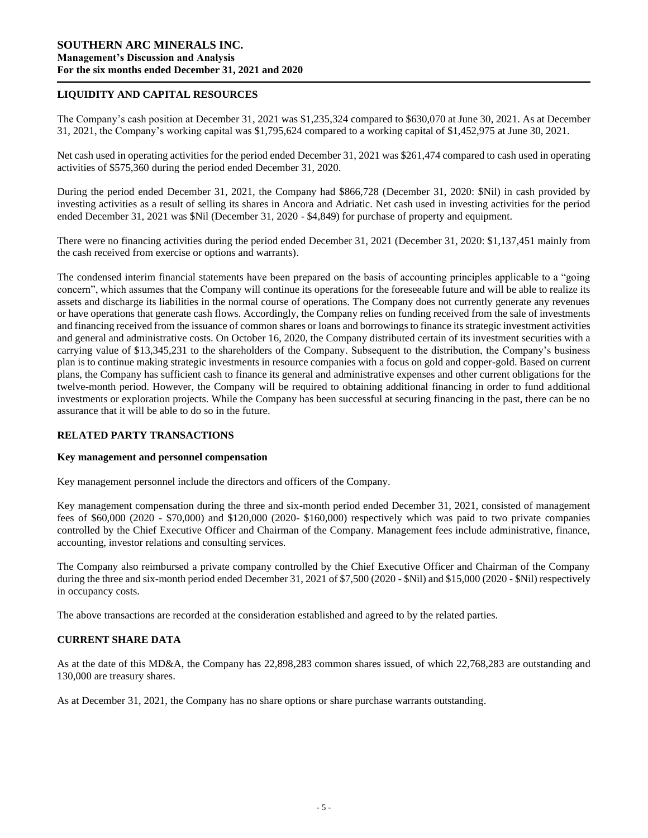## **LIQUIDITY AND CAPITAL RESOURCES**

The Company's cash position at December 31, 2021 was \$1,235,324 compared to \$630,070 at June 30, 2021. As at December 31, 2021, the Company's working capital was \$1,795,624 compared to a working capital of \$1,452,975 at June 30, 2021.

Net cash used in operating activities for the period ended December 31, 2021 was \$261,474 compared to cash used in operating activities of \$575,360 during the period ended December 31, 2020.

During the period ended December 31, 2021, the Company had \$866,728 (December 31, 2020: \$Nil) in cash provided by investing activities as a result of selling its shares in Ancora and Adriatic. Net cash used in investing activities for the period ended December 31, 2021 was \$Nil (December 31, 2020 - \$4,849) for purchase of property and equipment.

There were no financing activities during the period ended December 31, 2021 (December 31, 2020: \$1,137,451 mainly from the cash received from exercise or options and warrants).

The condensed interim financial statements have been prepared on the basis of accounting principles applicable to a "going concern", which assumes that the Company will continue its operations for the foreseeable future and will be able to realize its assets and discharge its liabilities in the normal course of operations. The Company does not currently generate any revenues or have operations that generate cash flows. Accordingly, the Company relies on funding received from the sale of investments and financing received from the issuance of common shares or loans and borrowings to finance its strategic investment activities and general and administrative costs. On October 16, 2020, the Company distributed certain of its investment securities with a carrying value of \$13,345,231 to the shareholders of the Company. Subsequent to the distribution, the Company's business plan is to continue making strategic investments in resource companies with a focus on gold and copper-gold. Based on current plans, the Company has sufficient cash to finance its general and administrative expenses and other current obligations for the twelve-month period. However, the Company will be required to obtaining additional financing in order to fund additional investments or exploration projects. While the Company has been successful at securing financing in the past, there can be no assurance that it will be able to do so in the future.

## **RELATED PARTY TRANSACTIONS**

#### **Key management and personnel compensation**

Key management personnel include the directors and officers of the Company.

Key management compensation during the three and six-month period ended December 31, 2021, consisted of management fees of \$60,000 (2020 - \$70,000) and \$120,000 (2020- \$160,000) respectively which was paid to two private companies controlled by the Chief Executive Officer and Chairman of the Company. Management fees include administrative, finance, accounting, investor relations and consulting services.

The Company also reimbursed a private company controlled by the Chief Executive Officer and Chairman of the Company during the three and six-month period ended December 31, 2021 of \$7,500 (2020 - \$Nil) and \$15,000 (2020 - \$Nil) respectively in occupancy costs.

The above transactions are recorded at the consideration established and agreed to by the related parties.

## **CURRENT SHARE DATA**

As at the date of this MD&A, the Company has 22,898,283 common shares issued, of which 22,768,283 are outstanding and 130,000 are treasury shares.

As at December 31, 2021, the Company has no share options or share purchase warrants outstanding.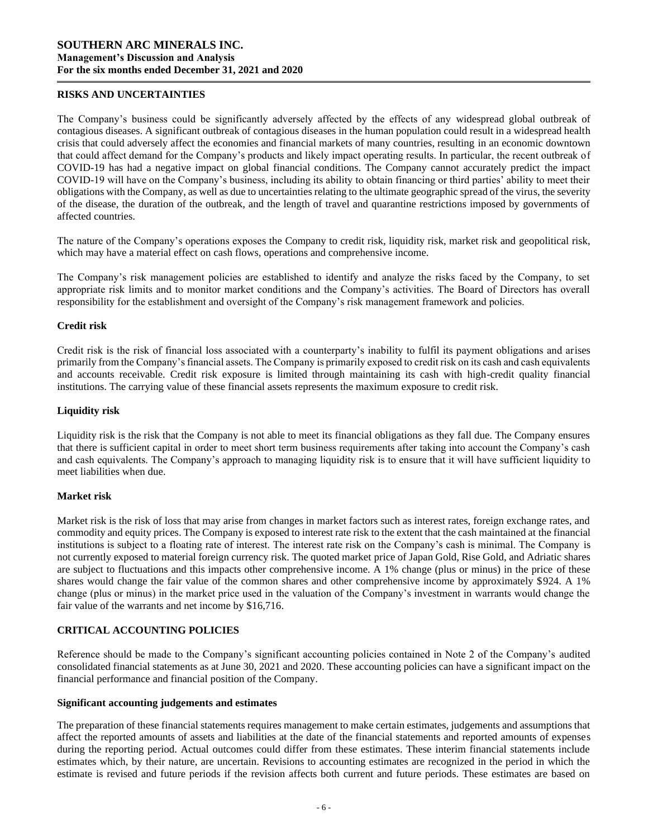#### **RISKS AND UNCERTAINTIES**

The Company's business could be significantly adversely affected by the effects of any widespread global outbreak of contagious diseases. A significant outbreak of contagious diseases in the human population could result in a widespread health crisis that could adversely affect the economies and financial markets of many countries, resulting in an economic downtown that could affect demand for the Company's products and likely impact operating results. In particular, the recent outbreak of COVID-19 has had a negative impact on global financial conditions. The Company cannot accurately predict the impact COVID-19 will have on the Company's business, including its ability to obtain financing or third parties' ability to meet their obligations with the Company, as well as due to uncertainties relating to the ultimate geographic spread of the virus, the severity of the disease, the duration of the outbreak, and the length of travel and quarantine restrictions imposed by governments of affected countries.

The nature of the Company's operations exposes the Company to credit risk, liquidity risk, market risk and geopolitical risk, which may have a material effect on cash flows, operations and comprehensive income.

The Company's risk management policies are established to identify and analyze the risks faced by the Company, to set appropriate risk limits and to monitor market conditions and the Company's activities. The Board of Directors has overall responsibility for the establishment and oversight of the Company's risk management framework and policies.

#### **Credit risk**

Credit risk is the risk of financial loss associated with a counterparty's inability to fulfil its payment obligations and arises primarily from the Company's financial assets. The Company is primarily exposed to credit risk on its cash and cash equivalents and accounts receivable. Credit risk exposure is limited through maintaining its cash with high-credit quality financial institutions. The carrying value of these financial assets represents the maximum exposure to credit risk.

#### **Liquidity risk**

Liquidity risk is the risk that the Company is not able to meet its financial obligations as they fall due. The Company ensures that there is sufficient capital in order to meet short term business requirements after taking into account the Company's cash and cash equivalents. The Company's approach to managing liquidity risk is to ensure that it will have sufficient liquidity to meet liabilities when due.

#### **Market risk**

Market risk is the risk of loss that may arise from changes in market factors such as interest rates, foreign exchange rates, and commodity and equity prices. The Company is exposed to interest rate risk to the extent that the cash maintained at the financial institutions is subject to a floating rate of interest. The interest rate risk on the Company's cash is minimal. The Company is not currently exposed to material foreign currency risk. The quoted market price of Japan Gold, Rise Gold, and Adriatic shares are subject to fluctuations and this impacts other comprehensive income. A 1% change (plus or minus) in the price of these shares would change the fair value of the common shares and other comprehensive income by approximately \$924. A 1% change (plus or minus) in the market price used in the valuation of the Company's investment in warrants would change the fair value of the warrants and net income by \$16,716.

## **CRITICAL ACCOUNTING POLICIES**

Reference should be made to the Company's significant accounting policies contained in Note 2 of the Company's audited consolidated financial statements as at June 30, 2021 and 2020. These accounting policies can have a significant impact on the financial performance and financial position of the Company.

#### **Significant accounting judgements and estimates**

The preparation of these financial statements requires management to make certain estimates, judgements and assumptions that affect the reported amounts of assets and liabilities at the date of the financial statements and reported amounts of expenses during the reporting period. Actual outcomes could differ from these estimates. These interim financial statements include estimates which, by their nature, are uncertain. Revisions to accounting estimates are recognized in the period in which the estimate is revised and future periods if the revision affects both current and future periods. These estimates are based on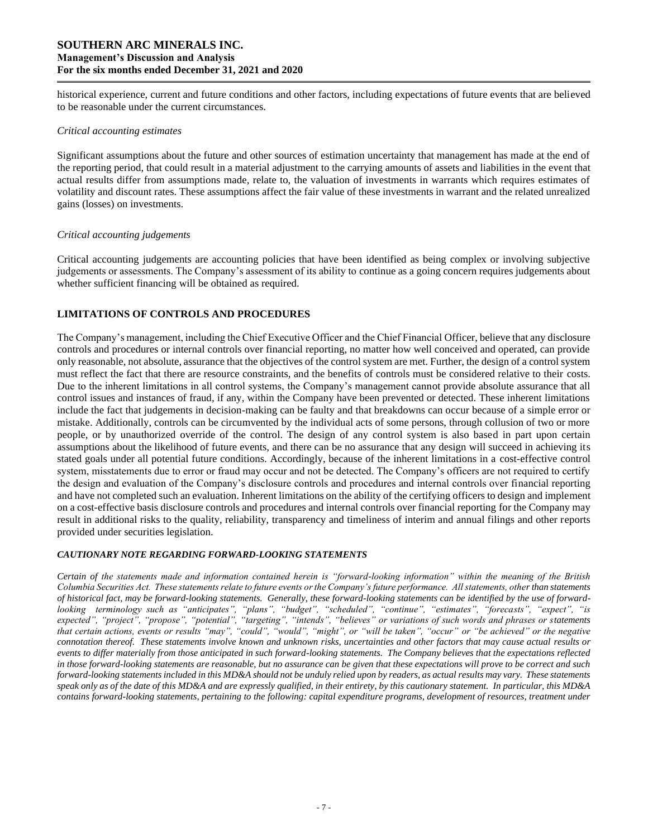historical experience, current and future conditions and other factors, including expectations of future events that are believed to be reasonable under the current circumstances.

#### *Critical accounting estimates*

Significant assumptions about the future and other sources of estimation uncertainty that management has made at the end of the reporting period, that could result in a material adjustment to the carrying amounts of assets and liabilities in the event that actual results differ from assumptions made, relate to, the valuation of investments in warrants which requires estimates of volatility and discount rates. These assumptions affect the fair value of these investments in warrant and the related unrealized gains (losses) on investments.

#### *Critical accounting judgements*

Critical accounting judgements are accounting policies that have been identified as being complex or involving subjective judgements or assessments. The Company's assessment of its ability to continue as a going concern requires judgements about whether sufficient financing will be obtained as required.

# **LIMITATIONS OF CONTROLS AND PROCEDURES**

The Company's management, including the Chief Executive Officer and the Chief Financial Officer, believe that any disclosure controls and procedures or internal controls over financial reporting, no matter how well conceived and operated, can provide only reasonable, not absolute, assurance that the objectives of the control system are met. Further, the design of a control system must reflect the fact that there are resource constraints, and the benefits of controls must be considered relative to their costs. Due to the inherent limitations in all control systems, the Company's management cannot provide absolute assurance that all control issues and instances of fraud, if any, within the Company have been prevented or detected. These inherent limitations include the fact that judgements in decision-making can be faulty and that breakdowns can occur because of a simple error or mistake. Additionally, controls can be circumvented by the individual acts of some persons, through collusion of two or more people, or by unauthorized override of the control. The design of any control system is also based in part upon certain assumptions about the likelihood of future events, and there can be no assurance that any design will succeed in achieving its stated goals under all potential future conditions. Accordingly, because of the inherent limitations in a cost-effective control system, misstatements due to error or fraud may occur and not be detected. The Company's officers are not required to certify the design and evaluation of the Company's disclosure controls and procedures and internal controls over financial reporting and have not completed such an evaluation. Inherent limitations on the ability of the certifying officers to design and implement on a cost-effective basis disclosure controls and procedures and internal controls over financial reporting for the Company may result in additional risks to the quality, reliability, transparency and timeliness of interim and annual filings and other reports provided under securities legislation.

## *CAUTIONARY NOTE REGARDING FORWARD-LOOKING STATEMENTS*

*Certain of the statements made and information contained herein is "forward-looking information" within the meaning of the British Columbia Securities Act. These statements relate to future events or the Company's future performance. All statements, other than statements of historical fact, may be forward-looking statements. Generally, these forward-looking statements can be identified by the use of forwardlooking terminology such as "anticipates", "plans", "budget", "scheduled", "continue", "estimates", "forecasts", "expect", "is expected", "project", "propose", "potential", "targeting", "intends", "believes" or variations of such words and phrases or statements that certain actions, events or results "may", "could", "would", "might", or "will be taken", "occur" or "be achieved" or the negative connotation thereof. These statements involve known and unknown risks, uncertainties and other factors that may cause actual results or events to differ materially from those anticipated in such forward-looking statements. The Company believes that the expectations reflected in those forward-looking statements are reasonable, but no assurance can be given that these expectations will prove to be correct and such forward-looking statements included in this MD&A should not be unduly relied upon by readers, as actual results may vary. These statements speak only as of the date of this MD&A and are expressly qualified, in their entirety, by this cautionary statement. In particular, this MD&A contains forward-looking statements, pertaining to the following: capital expenditure programs, development of resources, treatment under*